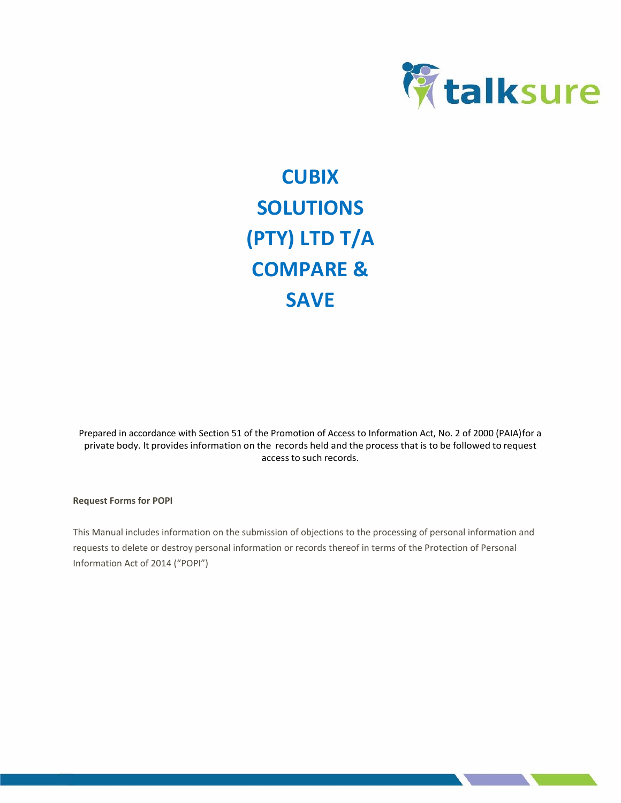

# **CUBIX SOLUTIONS (PTY) LTD T/A COMPARE & SAVE**

Prepared in accordance with Section 51 of the Promotion of Access to Information Act, No. 2 of 2000 (PAIA)for a private body. It provides information on the records held and the process that is to be followed to request access to such records.

**Request Forms for POPI**

This Manual includes information on the submission of objections to the processing of personal information and requests to delete or destroy personal information or records thereof in terms of the Protection of Personal Information Act of 2014 ("POPI")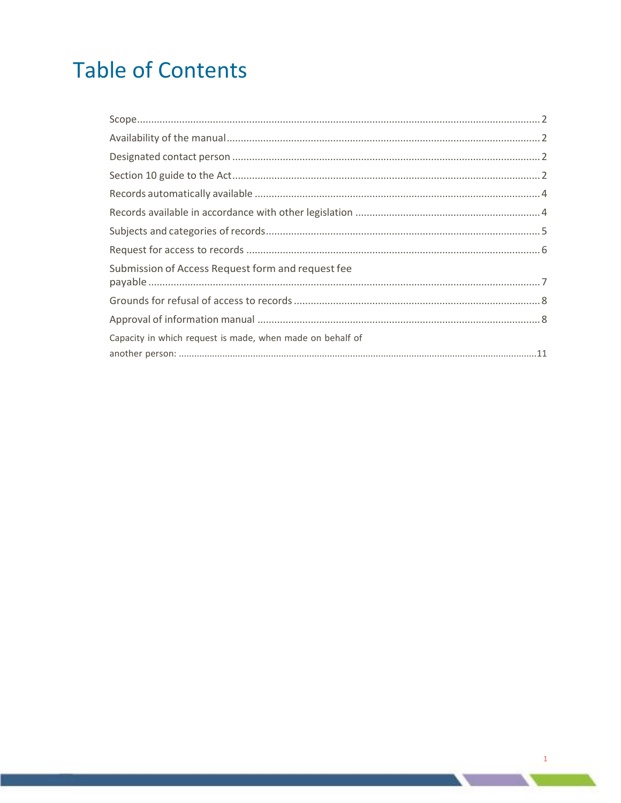# **Table of Contents**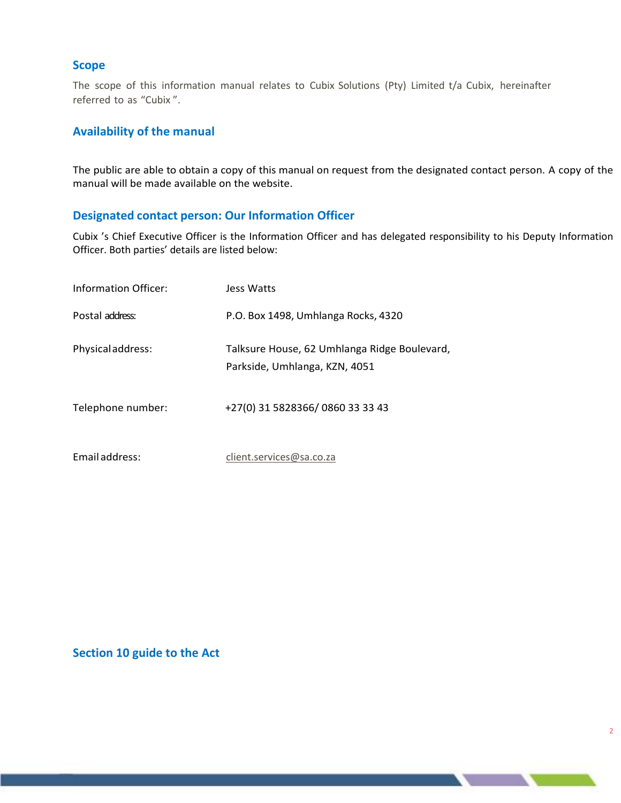## <span id="page-2-0"></span>**Scope**

The scope of this information manual relates to Cubix Solutions (Pty) Limited t/a Cubix, hereinafter referred to as "Cubix ".

# <span id="page-2-1"></span>**Availability of the manual**

The public are able to obtain a copy of this manual on request from the designated contact person. A copy of the manual will be made available on the website.

# <span id="page-2-2"></span>**Designated contact person: Our Information Officer**

Cubix 's Chief Executive Officer is the Information Officer and has delegated responsibility to his Deputy Information Officer. Both parties' details are listed below:

| Information Officer: | Jess Watts                                                                    |
|----------------------|-------------------------------------------------------------------------------|
| Postal address:      | P.O. Box 1498, Umhlanga Rocks, 4320                                           |
| Physicaladdress:     | Talksure House, 62 Umhlanga Ridge Boulevard,<br>Parkside, Umhlanga, KZN, 4051 |
| Telephone number:    | +27(0) 31 5828366/0860 33 33 43                                               |
| Email address:       | client.services@sa.co.za                                                      |

# <span id="page-2-3"></span>**Section 10 guide to the Act**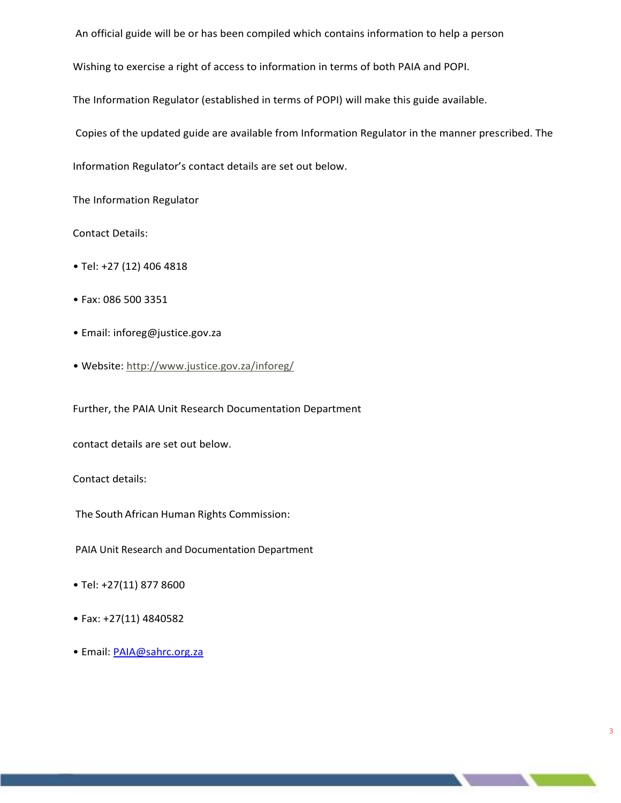An official guide will be or has been compiled which contains information to help a person

Wishing to exercise a right of access to information in terms of both PAIA and POPI.

The Information Regulator (established in terms of POPI) will make this guide available.

Copies of the updated guide are available from Information Regulator in the manner prescribed. The

3

Information Regulator's contact details are set out below.

The Information Regulator

Contact Details:

- Tel: +27 (12) 406 4818
- Fax: 086 500 3351
- Email: inforeg@justice.gov.za
- Website: <http://www.justice.gov.za/inforeg/>

Further, the PAIA Unit Research Documentation Department

contact details are set out below.

Contact details:

The South African Human Rights Commission:

PAIA Unit Research and Documentation Department

- Tel: +27(11) 877 8600
- Fax: +27(11) 4840582
- Email: **[PAIA@sahrc.org.za](mailto:PAIA@sahrc.org.za)**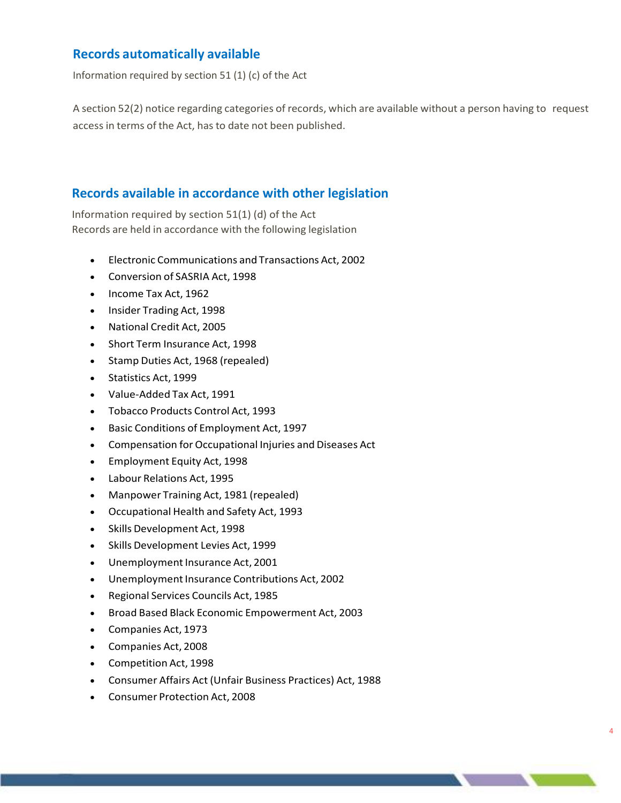# <span id="page-4-0"></span>**Records automatically available**

Information required by section 51 (1) (c) of the Act

A section 52(2) notice regarding categories of records, which are available without a person having to request access in terms of the Act, has to date not been published.

# <span id="page-4-1"></span>**Records available in accordance with other legislation**

Information required by section 51(1) (d) of the Act Records are held in accordance with the following legislation

- Electronic Communications and Transactions Act, 2002
- Conversion of SASRIA Act, 1998
- Income Tax Act, 1962
- Insider Trading Act, 1998
- National Credit Act, 2005
- Short Term Insurance Act, 1998
- Stamp Duties Act, 1968 (repealed)
- Statistics Act, 1999
- Value-Added Tax Act, 1991
- Tobacco Products Control Act, 1993
- Basic Conditions of Employment Act, 1997
- Compensation for Occupational Injuries and Diseases Act
- Employment Equity Act, 1998
- Labour Relations Act, 1995
- Manpower Training Act, 1981 (repealed)
- Occupational Health and Safety Act, 1993
- Skills Development Act, 1998
- Skills Development Levies Act, 1999
- Unemployment Insurance Act, 2001
- Unemployment Insurance Contributions Act, 2002
- Regional Services Councils Act, 1985
- Broad Based Black Economic Empowerment Act, 2003
- Companies Act, 1973
- Companies Act, 2008
- Competition Act, 1998
- Consumer Affairs Act (Unfair Business Practices) Act, 1988

4

• Consumer Protection Act, 2008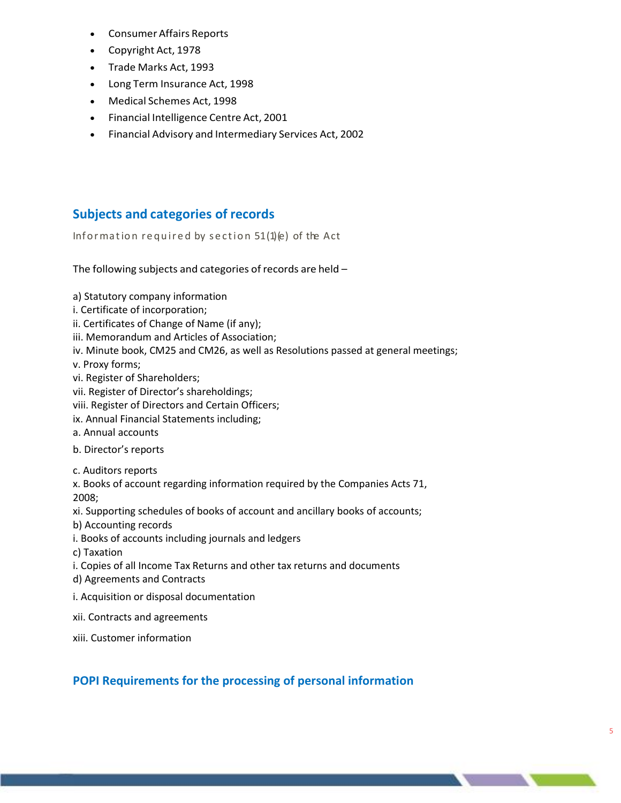- Consumer Affairs Reports
- Copyright Act, 1978
- Trade Marks Act, 1993
- Long Term Insurance Act, 1998
- Medical Schemes Act, 1998
- Financial Intelligence Centre Act, 2001
- Financial Advisory and Intermediary Services Act, 2002

# <span id="page-5-0"></span>**Subjects and categories of records**

Information required by section  $51(1)(e)$  of the Act

The following subjects and categories of records are held –

- a) Statutory company information
- i. Certificate of incorporation;
- ii. Certificates of Change of Name (if any);
- iii. Memorandum and Articles of Association;
- iv. Minute book, CM25 and CM26, as well as Resolutions passed at general meetings;

v. Proxy forms;

- vi. Register of Shareholders;
- vii. Register of Director's shareholdings;
- viii. Register of Directors and Certain Officers;
- ix. Annual Financial Statements including;
- a. Annual accounts
- b. Director's reports
- c. Auditors reports

x. Books of account regarding information required by the Companies Acts 71, 2008;

xi. Supporting schedules of books of account and ancillary books of accounts;

- b) Accounting records
- i. Books of accounts including journals and ledgers

c) Taxation

- i. Copies of all Income Tax Returns and other tax returns and documents
- d) Agreements and Contracts
- i. Acquisition or disposal documentation
- xii. Contracts and agreements

xiii. Customer information

# **POPI Requirements for the processing of personal information**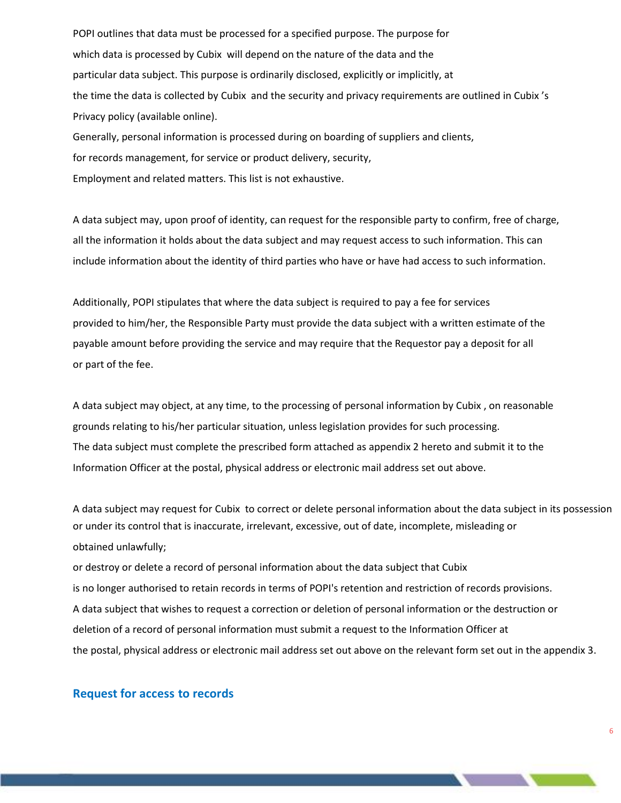POPI outlines that data must be processed for a specified purpose. The purpose for which data is processed by Cubix will depend on the nature of the data and the particular data subject. This purpose is ordinarily disclosed, explicitly or implicitly, at the time the data is collected by Cubix and the security and privacy requirements are outlined in Cubix 's Privacy policy (available online).

Generally, personal information is processed during on boarding of suppliers and clients, for records management, for service or product delivery, security, Employment and related matters. This list is not exhaustive.

A data subject may, upon proof of identity, can request for the responsible party to confirm, free of charge, all the information it holds about the data subject and may request access to such information. This can include information about the identity of third parties who have or have had access to such information.

Additionally, POPI stipulates that where the data subject is required to pay a fee for services provided to him/her, the Responsible Party must provide the data subject with a written estimate of the payable amount before providing the service and may require that the Requestor pay a deposit for all or part of the fee.

A data subject may object, at any time, to the processing of personal information by Cubix , on reasonable grounds relating to his/her particular situation, unless legislation provides for such processing. The data subject must complete the prescribed form attached as appendix 2 hereto and submit it to the Information Officer at the postal, physical address or electronic mail address set out above.

A data subject may request for Cubix to correct or delete personal information about the data subject in its possession or under its control that is inaccurate, irrelevant, excessive, out of date, incomplete, misleading or obtained unlawfully;

or destroy or delete a record of personal information about the data subject that Cubix is no longer authorised to retain records in terms of POPI's retention and restriction of records provisions. A data subject that wishes to request a correction or deletion of personal information or the destruction or deletion of a record of personal information must submit a request to the Information Officer at the postal, physical address or electronic mail address set out above on the relevant form set out in the appendix 3.

## <span id="page-6-0"></span>**Request for access to records**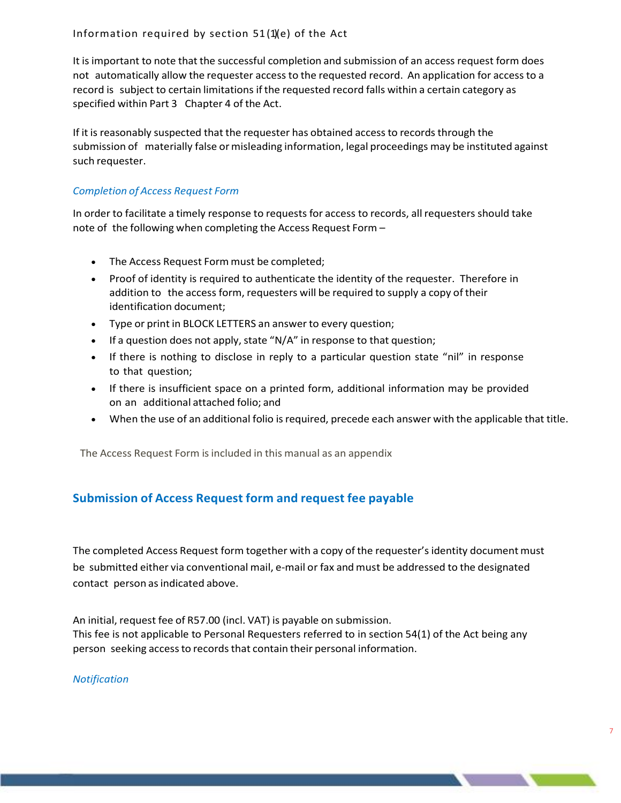It is important to note that the successful completion and submission of an access request form does not automatically allow the requester access to the requested record. An application for access to a record is subject to certain limitations if the requested record falls within a certain category as specified within Part 3 Chapter 4 of the Act.

If it is reasonably suspected that the requester has obtained access to records through the submission of materially false or misleading information, legal proceedings may be instituted against such requester.

# *Completion of Access Request Form*

In order to facilitate a timely response to requests for access to records, all requesters should take note of the following when completing the Access Request Form –

- The Access Request Form must be completed;
- Proof of identity is required to authenticate the identity of the requester. Therefore in addition to the access form, requesters will be required to supply a copy of their identification document;
- Type or print in BLOCK LETTERS an answer to every question;
- If a question does not apply, state "N/A" in response to that question;
- If there is nothing to disclose in reply to a particular question state "nil" in response to that question;
- If there is insufficient space on a printed form, additional information may be provided on an additional attached folio; and
- When the use of an additional folio is required, precede each answer with the applicable that title.

The Access Request Form is included in this manual as an appendix

# <span id="page-7-0"></span>**Submission of Access Request form and request fee payable**

The completed Access Request form together with a copy of the requester'sidentity document must be submitted either via conventional mail, e-mail or fax and must be addressed to the designated contact person as indicated above.

An initial, request fee of R57.00 (incl. VAT) is payable on submission. This fee is not applicable to Personal Requesters referred to in section 54(1) of the Act being any person seeking access to records that contain their personal information.

## *Notification*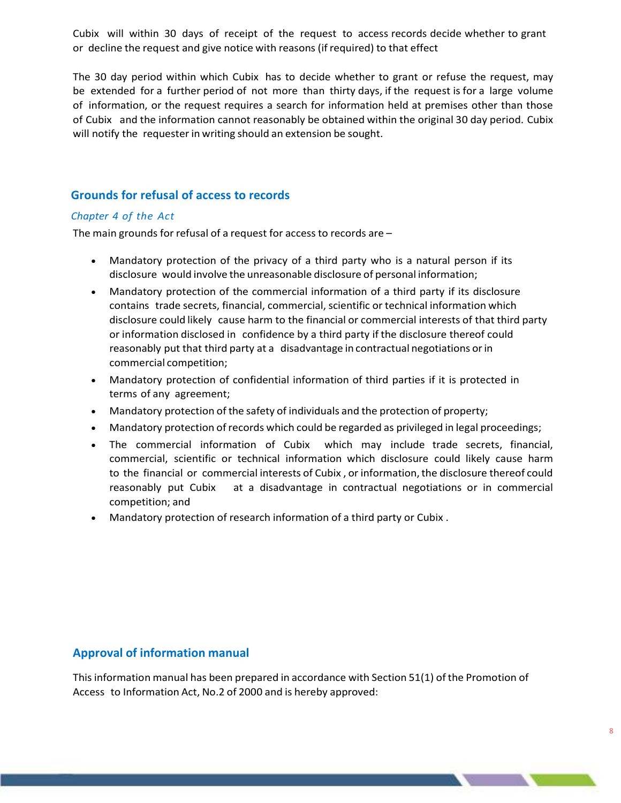Cubix will within 30 days of receipt of the request to access records decide whether to grant or decline the request and give notice with reasons (if required) to that effect

The 30 day period within which Cubix has to decide whether to grant or refuse the request, may be extended for a further period of not more than thirty days, if the request is for a large volume of information, or the request requires a search for information held at premises other than those of Cubix and the information cannot reasonably be obtained within the original 30 day period. Cubix will notify the requester in writing should an extension be sought.

# <span id="page-8-0"></span>**Grounds for refusal of access to records**

# *Chapter 4 of the Act*

The main grounds for refusal of a request for access to records are  $-$ 

- Mandatory protection of the privacy of a third party who is a natural person if its disclosure would involve the unreasonable disclosure of personal information;
- Mandatory protection of the commercial information of a third party if its disclosure contains trade secrets, financial, commercial, scientific or technical information which disclosure could likely cause harm to the financial or commercial interests of that third party or information disclosed in confidence by a third party if the disclosure thereof could reasonably put that third party at a disadvantage in contractual negotiations orin commercial competition;
- Mandatory protection of confidential information of third parties if it is protected in terms of any agreement;
- Mandatory protection of the safety of individuals and the protection of property;
- Mandatory protection of records which could be regarded as privileged in legal proceedings;
- The commercial information of Cubix which may include trade secrets, financial, commercial, scientific or technical information which disclosure could likely cause harm to the financial or commercial interests of Cubix, or information, the disclosure thereof could reasonably put Cubix at a disadvantage in contractual negotiations or in commercial competition; and
- Mandatory protection of research information of a third party or Cubix .

# <span id="page-8-1"></span>**Approval of information manual**

Thisinformation manual has been prepared in accordance with Section 51(1) of the Promotion of Access to Information Act, No.2 of 2000 and is hereby approved: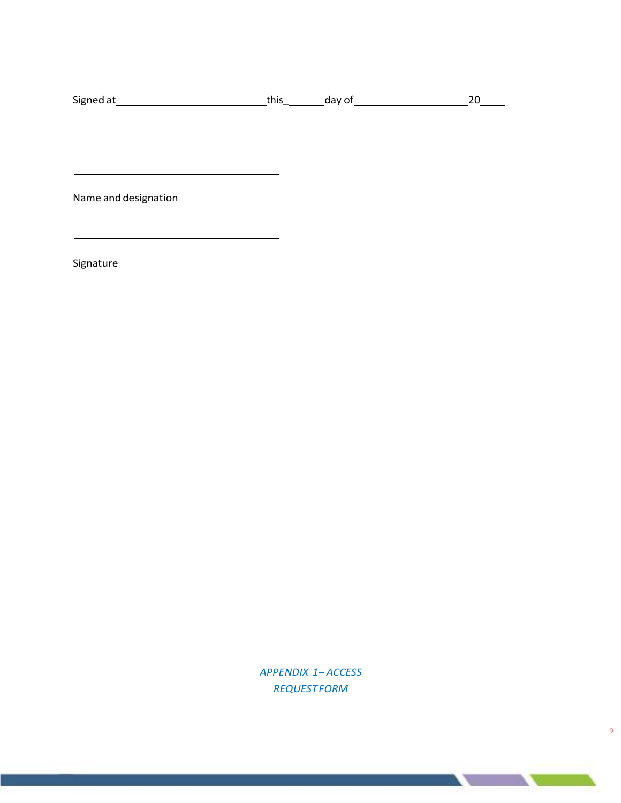| Signed at | . | uav |  |
|-----------|---|-----|--|
|-----------|---|-----|--|

Name and designation

Signature

*APPENDIX 1– ACCESS REQUESTFORM*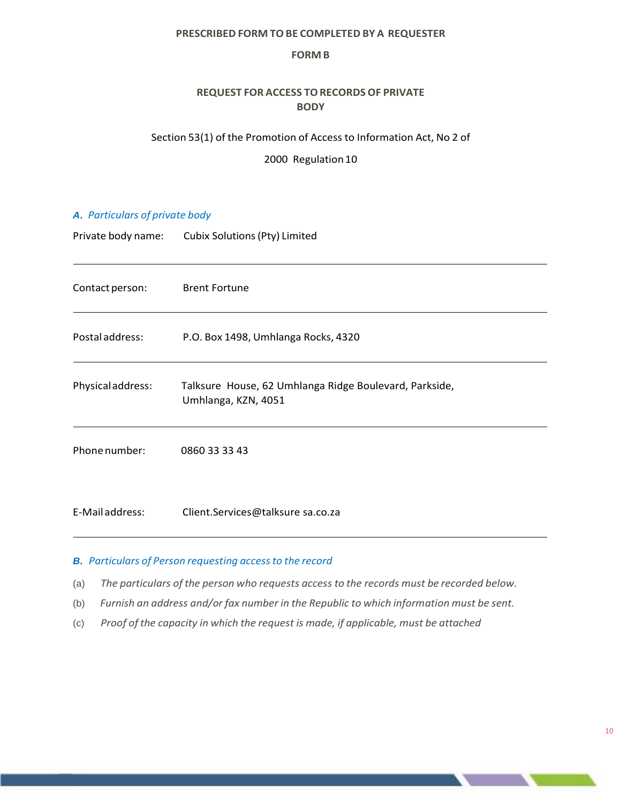## **PRESCRIBED FORM TO BE COMPLETED BY A REQUESTER**

#### **FORM B**

# **REQUEST FOR ACCESS TORECORDS OF PRIVATE BODY**

## Section 53(1) of the Promotion of Access to Information Act, No 2 of

2000 Regulation 10

## *A. Particulars of private body*

Private body name: Cubix Solutions(Pty) Limited

| Contact person:  | <b>Brent Fortune</b>                                                          |
|------------------|-------------------------------------------------------------------------------|
| Postal address:  | P.O. Box 1498, Umhlanga Rocks, 4320                                           |
| Physicaladdress: | Talksure House, 62 Umhlanga Ridge Boulevard, Parkside,<br>Umhlanga, KZN, 4051 |
| Phone number:    | 0860 33 33 43                                                                 |
| E-Mail address:  | Client.Services@talksure sa.co.za                                             |

## *B. Particulars of Person requesting accessto the record*

- (a) *The particulars of the person who requests access to the records must be recorded below.*
- (b) *Furnish an address and/or fax number in the Republic to which information must be sent.*
- (c) *Proof of the capacity in which the request is made, if applicable, must be attached*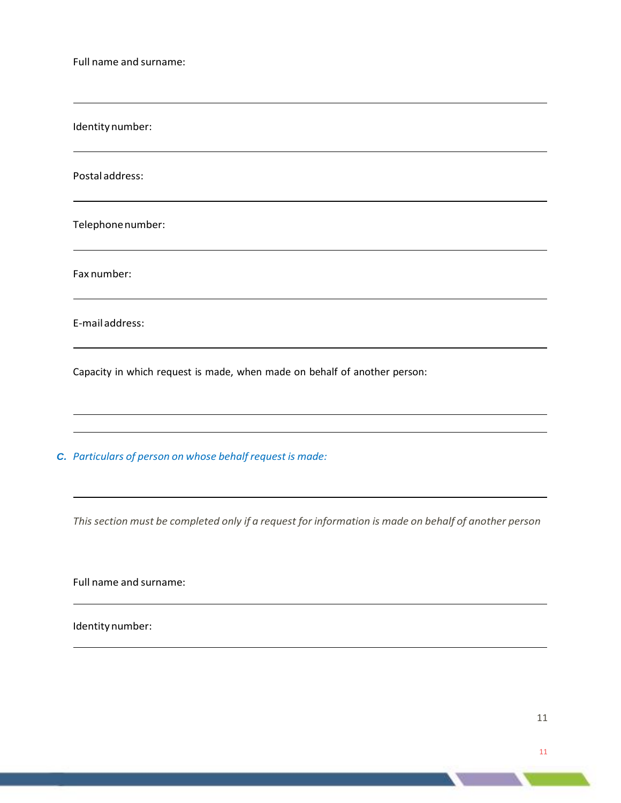Full name and surname:

Identity number:

Postal address:

Telephonenumber:

Fax number:

E-mailaddress:

<span id="page-11-0"></span>Capacity in which request is made, when made on behalf of another person:

*C. Particulars of person on whose behalf request is made:*

This section must be completed only if a request for information is made on behalf of another person

<u> 1989 - Johann Stoff, deutscher Stoff, der Stoff, der Stoff, der Stoff, der Stoff, der Stoff, der Stoff, der S</u>

Full name and surname:

Identity number: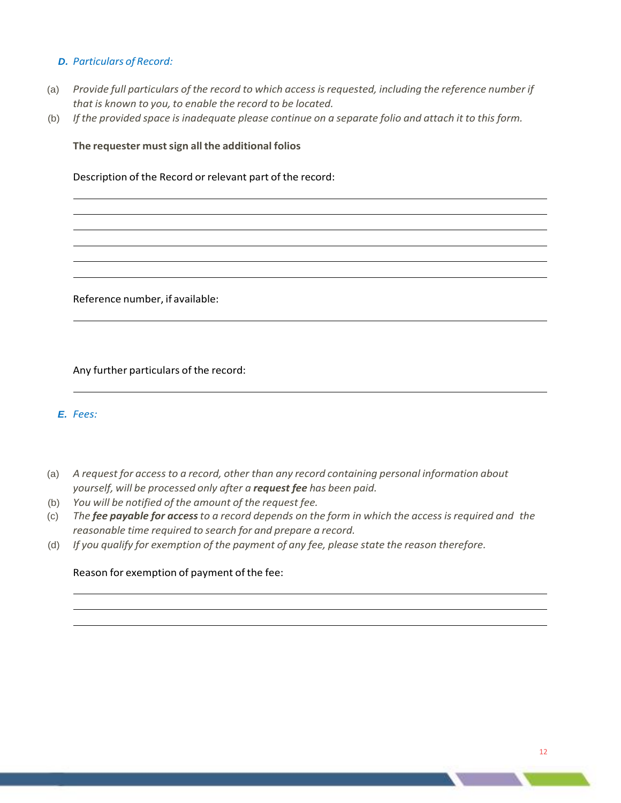# *D. Particulars of Record:*

- (a) *Provide full particulars of the record to which access isrequested, including the reference number if that is known to you, to enable the record to be located.*
- (b) If the provided space is inadequate please continue on a separate folio and attach it to this form.

## **The requester mustsign all the additional folios**

Description of the Record or relevant part of the record:

Reference number, if available:

Any further particulars of the record:

# *E. Fees:*

- (a) *A request for access to a record, other than any record containing personal information about yourself, will be processed only after a request fee has been paid.*
- (b) *You will be notified of the amount of the request fee.*
- (c) The fee payable for access to a record depends on the form in which the access is required and the *reasonable time required to search for and prepare a record.*
- (d) *If you qualify for exemption of the payment of any fee, please state the reason therefore.*

## Reason for exemption of payment of the fee: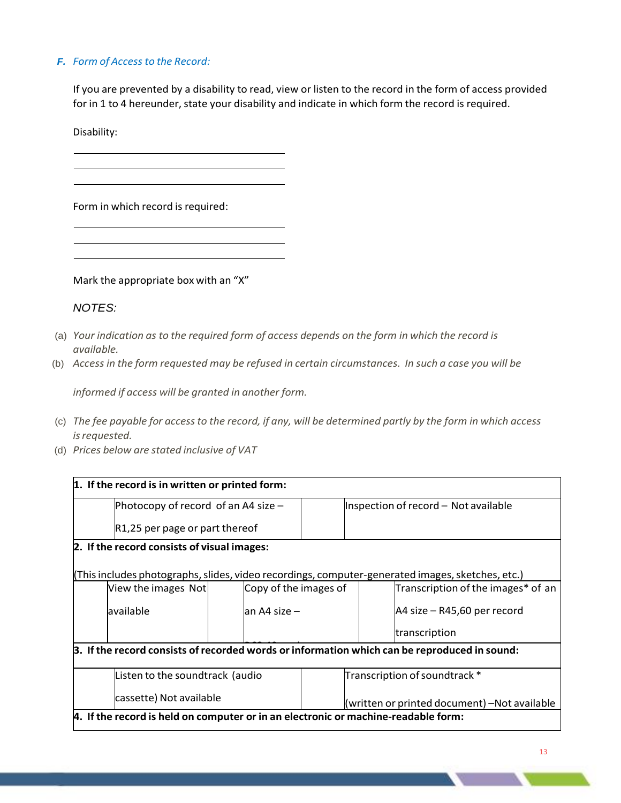# *F. Form of Access to the Record:*

If you are prevented by a disability to read, view or listen to the record in the form of access provided for in 1 to 4 hereunder, state your disability and indicate in which form the record is required.

Disability:

Form in which record is required:

Mark the appropriate box with an "X"

# *NOTES:*

- (a) *Your indication as to the required form of access depends on the form in which the record is available.*
- (b) Access in the form requested may be refused in certain circumstances. In such a case you will be

*informed if access will be granted in another form.*

- (c) The fee payable for access to the record, if any, will be determined partly by the form in which access *isrequested.*
- (d) *Prices below are stated inclusive of VAT*

| 1. If the record is in written or printed form:                                              |                                                                                                  |                       |                               |                                      |  |  |
|----------------------------------------------------------------------------------------------|--------------------------------------------------------------------------------------------------|-----------------------|-------------------------------|--------------------------------------|--|--|
|                                                                                              | Photocopy of record of an A4 size $-$                                                            |                       |                               | Inspection of record - Not available |  |  |
|                                                                                              | R1,25 per page or part thereof                                                                   |                       |                               |                                      |  |  |
| 2. If the record consists of visual images:                                                  |                                                                                                  |                       |                               |                                      |  |  |
|                                                                                              | (This includes photographs, slides, video recordings, computer-generated images, sketches, etc.) |                       |                               |                                      |  |  |
| View the images Not                                                                          |                                                                                                  | Copy of the images of |                               | Transcription of the images* of an   |  |  |
| available                                                                                    | lan A4 size –                                                                                    |                       |                               | A4 size - R45,60 per record          |  |  |
|                                                                                              |                                                                                                  |                       |                               | transcription                        |  |  |
| 3. If the record consists of recorded words or information which can be reproduced in sound: |                                                                                                  |                       |                               |                                      |  |  |
|                                                                                              | Listen to the soundtrack (audio                                                                  |                       | Transcription of soundtrack * |                                      |  |  |
| cassette) Not available                                                                      | (written or printed document) -Not available                                                     |                       |                               |                                      |  |  |
| 4. If the record is held on computer or in an electronic or machine-readable form:           |                                                                                                  |                       |                               |                                      |  |  |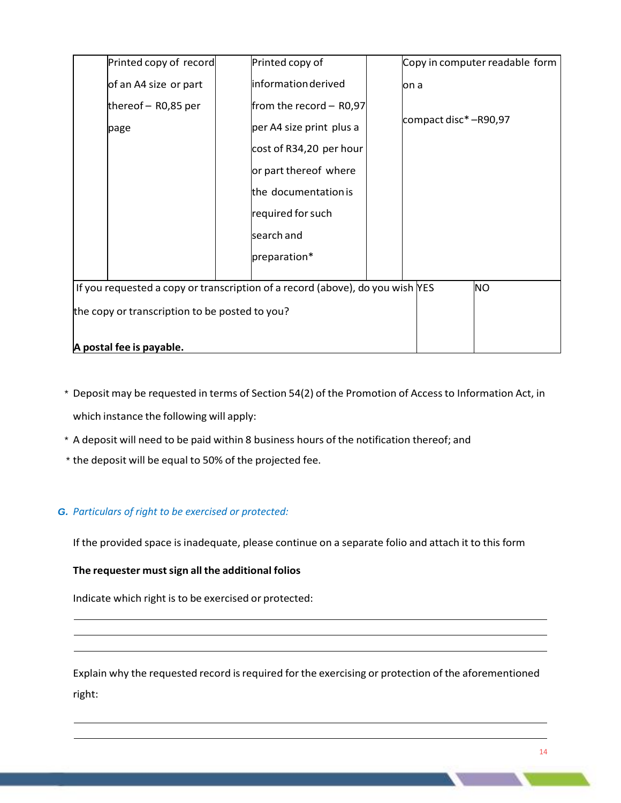| Printed copy of record                                                                       | Printed copy of          | Copy in computer readable form |  |  |  |
|----------------------------------------------------------------------------------------------|--------------------------|--------------------------------|--|--|--|
| of an A4 size or part                                                                        | information derived      | lon a                          |  |  |  |
| thereof $-$ R0,85 per                                                                        | from the record - R0,97  |                                |  |  |  |
| page                                                                                         | per A4 size print plus a | compact disc* -R90,97          |  |  |  |
|                                                                                              | cost of R34,20 per hour  |                                |  |  |  |
|                                                                                              | or part thereof where    |                                |  |  |  |
|                                                                                              | the documentation is     |                                |  |  |  |
|                                                                                              | required for such        |                                |  |  |  |
|                                                                                              | search and               |                                |  |  |  |
|                                                                                              | preparation*             |                                |  |  |  |
|                                                                                              |                          |                                |  |  |  |
| <b>NO</b><br>If you requested a copy or transcription of a record (above), do you wish $NES$ |                          |                                |  |  |  |
| the copy or transcription to be posted to you?                                               |                          |                                |  |  |  |
|                                                                                              |                          |                                |  |  |  |
| A postal fee is payable.                                                                     |                          |                                |  |  |  |

- \* Deposit may be requested in terms of Section 54(2) of the Promotion of Accessto Information Act, in which instance the following will apply:
- \* A deposit will need to be paid within 8 business hours of the notification thereof; and
- \* the deposit will be equal to 50% of the projected fee.

## *G. Particulars of right to be exercised or protected:*

If the provided space is inadequate, please continue on a separate folio and attach it to this form

## **The requester mustsign all the additional folios**

Indicate which right is to be exercised or protected:

Explain why the requested record is required for the exercising or protection of the aforementioned right: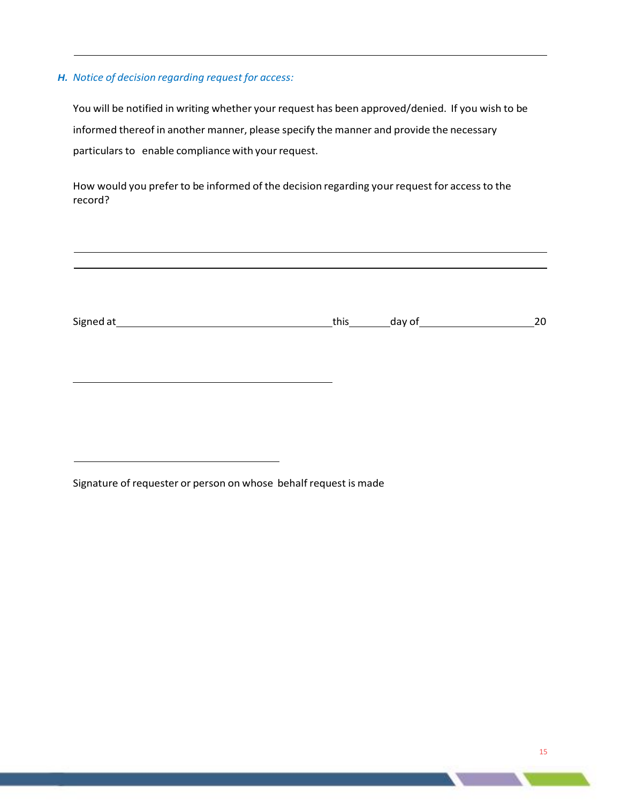## *H. Notice of decision regarding request for access:*

You will be notified in writing whether your request has been approved/denied. If you wish to be informed thereof in another manner, please specify the manner and provide the necessary particulars to enable compliance with your request.

How would you prefer to be informed of the decision regarding your request for access to the record?

| Signed at | this | $\frac{1}{2}$ day of | 20 |
|-----------|------|----------------------|----|
|           |      |                      |    |
|           |      |                      |    |
|           |      |                      |    |
|           |      |                      |    |

Signature of requester or person on whose behalf request is made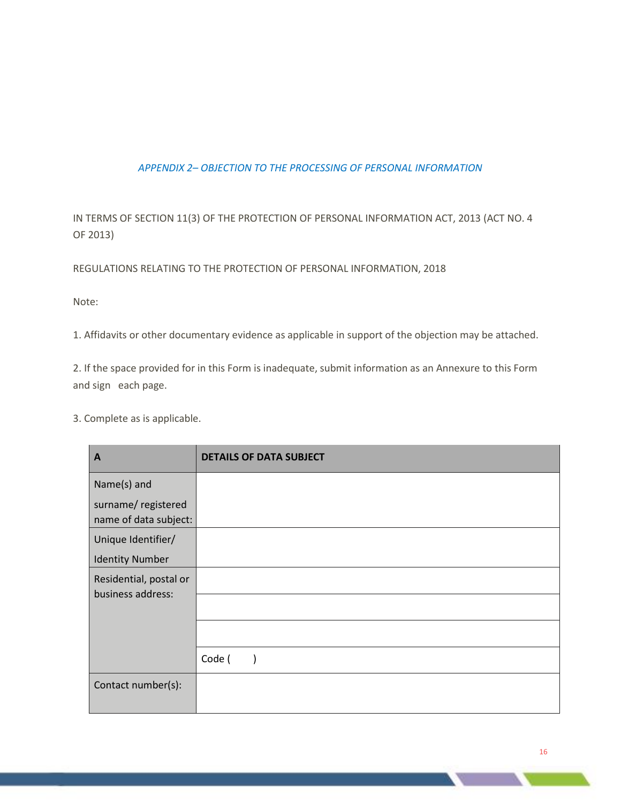# *APPENDIX 2– OBJECTION TO THE PROCESSING OF PERSONAL INFORMATION*

IN TERMS OF SECTION 11(3) OF THE PROTECTION OF PERSONAL INFORMATION ACT, 2013 (ACT NO. 4 OF 2013)

REGULATIONS RELATING TO THE PROTECTION OF PERSONAL INFORMATION, 2018

Note:

1. Affidavits or other documentary evidence as applicable in support of the objection may be attached.

2. If the space provided for in this Form is inadequate, submit information as an Annexure to this Form and sign each page.

3. Complete as is applicable.

| A                                           | <b>DETAILS OF DATA SUBJECT</b> |
|---------------------------------------------|--------------------------------|
| Name(s) and                                 |                                |
| surname/registered<br>name of data subject: |                                |
| Unique Identifier/                          |                                |
| <b>Identity Number</b>                      |                                |
| Residential, postal or<br>business address: |                                |
|                                             |                                |
|                                             | Code (                         |
| Contact number(s):                          |                                |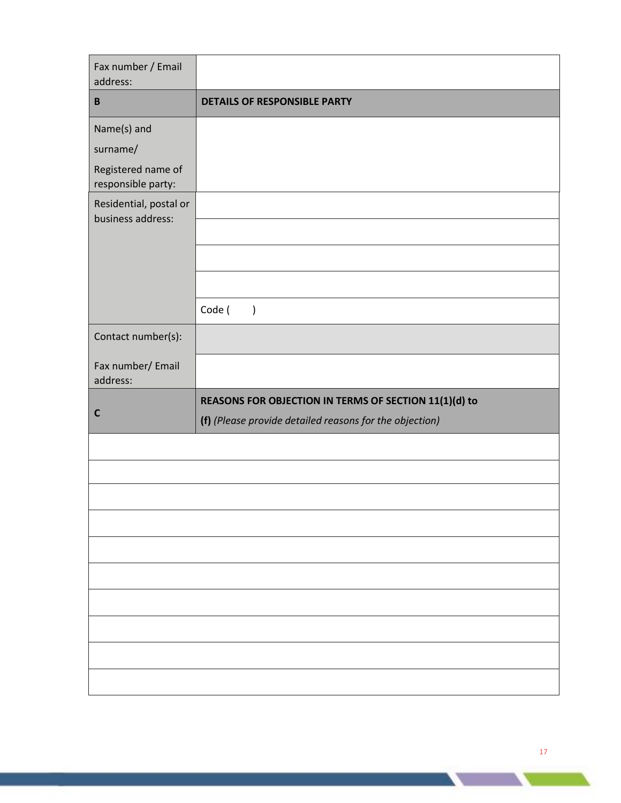| Fax number / Email<br>address:                                      |                                                                                                                  |
|---------------------------------------------------------------------|------------------------------------------------------------------------------------------------------------------|
| $\, {\bf B}$                                                        | <b>DETAILS OF RESPONSIBLE PARTY</b>                                                                              |
| Name(s) and<br>surname/<br>Registered name of<br>responsible party: |                                                                                                                  |
| Residential, postal or<br>business address:                         |                                                                                                                  |
|                                                                     | Code (<br>$\left( \right)$                                                                                       |
| Contact number(s):                                                  |                                                                                                                  |
| Fax number/ Email<br>address:                                       |                                                                                                                  |
| $\mathbf c$                                                         | REASONS FOR OBJECTION IN TERMS OF SECTION 11(1)(d) to<br>(f) (Please provide detailed reasons for the objection) |
|                                                                     |                                                                                                                  |
|                                                                     |                                                                                                                  |
|                                                                     |                                                                                                                  |
|                                                                     |                                                                                                                  |
|                                                                     |                                                                                                                  |
|                                                                     |                                                                                                                  |
|                                                                     |                                                                                                                  |
|                                                                     |                                                                                                                  |
|                                                                     |                                                                                                                  |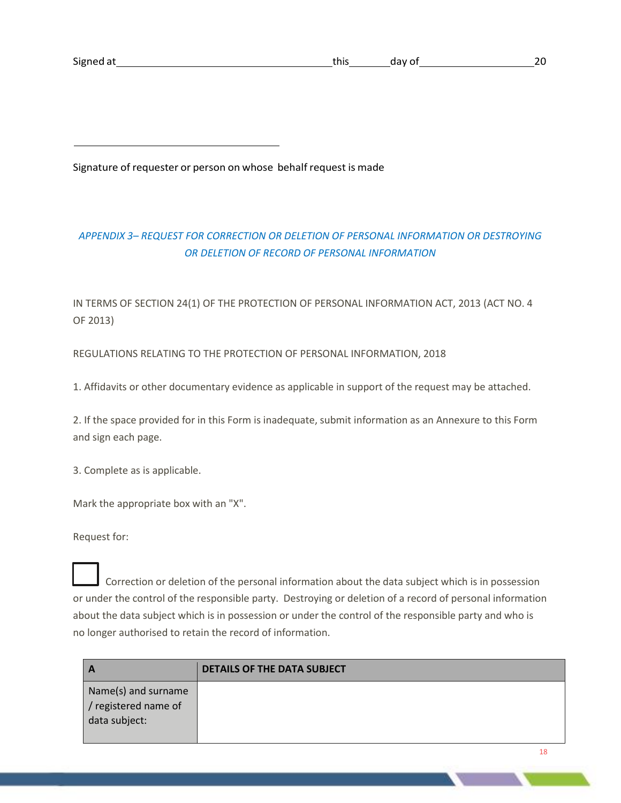Signature of requester or person on whose behalf request is made

# *APPENDIX 3– REQUEST FOR CORRECTION OR DELETION OF PERSONAL INFORMATION OR DESTROYING OR DELETION OF RECORD OF PERSONAL INFORMATION*

IN TERMS OF SECTION 24(1) OF THE PROTECTION OF PERSONAL INFORMATION ACT, 2013 (ACT NO. 4 OF 2013)

REGULATIONS RELATING TO THE PROTECTION OF PERSONAL INFORMATION, 2018

1. Affidavits or other documentary evidence as applicable in support of the request may be attached.

2. If the space provided for in this Form is inadequate, submit information as an Annexure to this Form and sign each page.

3. Complete as is applicable.

Mark the appropriate box with an "X".

Request for:

 Correction or deletion of the personal information about the data subject which is in possession or under the control of the responsible party. Destroying or deletion of a record of personal information about the data subject which is in possession or under the control of the responsible party and who is no longer authorised to retain the record of information.

|                                                              | <b>DETAILS OF THE DATA SUBJECT</b> |
|--------------------------------------------------------------|------------------------------------|
| Name(s) and surname<br>/ registered name of<br>data subject: |                                    |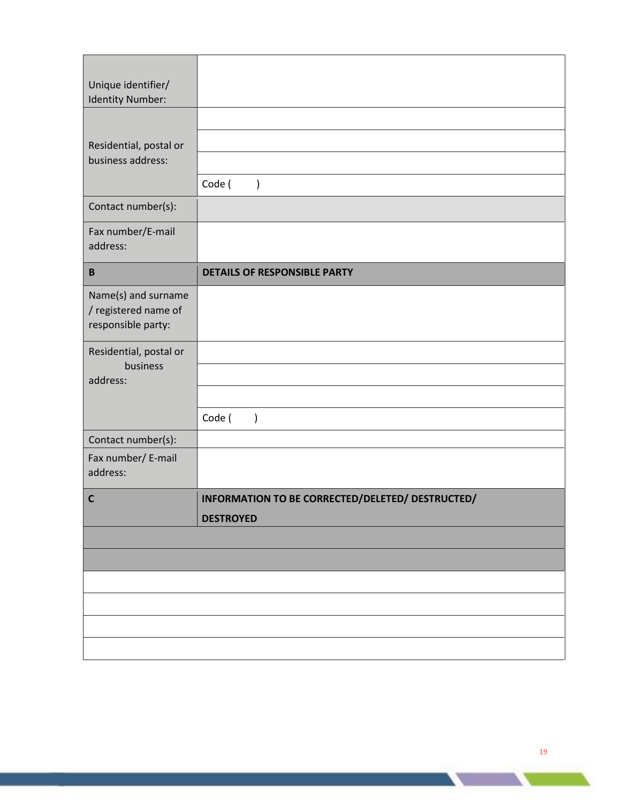| Unique identifier/<br>Identity Number:                            |                                                                      |
|-------------------------------------------------------------------|----------------------------------------------------------------------|
| Residential, postal or<br>business address:                       | Code (<br>$\mathcal{E}$                                              |
| Contact number(s):                                                |                                                                      |
| Fax number/E-mail<br>address:                                     |                                                                      |
| $\, {\bf B}$                                                      | <b>DETAILS OF RESPONSIBLE PARTY</b>                                  |
| Name(s) and surname<br>/ registered name of<br>responsible party: |                                                                      |
| Residential, postal or<br>business<br>address:                    |                                                                      |
|                                                                   | Code (<br>$\overline{\phantom{a}}$                                   |
| Contact number(s):<br>Fax number/ E-mail<br>address:              |                                                                      |
| $\mathbf c$                                                       | INFORMATION TO BE CORRECTED/DELETED/ DESTRUCTED/<br><b>DESTROYED</b> |
|                                                                   |                                                                      |
|                                                                   |                                                                      |
|                                                                   |                                                                      |
|                                                                   |                                                                      |
|                                                                   |                                                                      |
|                                                                   |                                                                      |